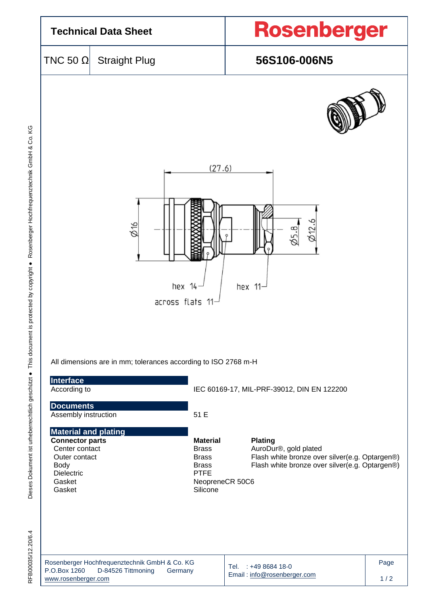